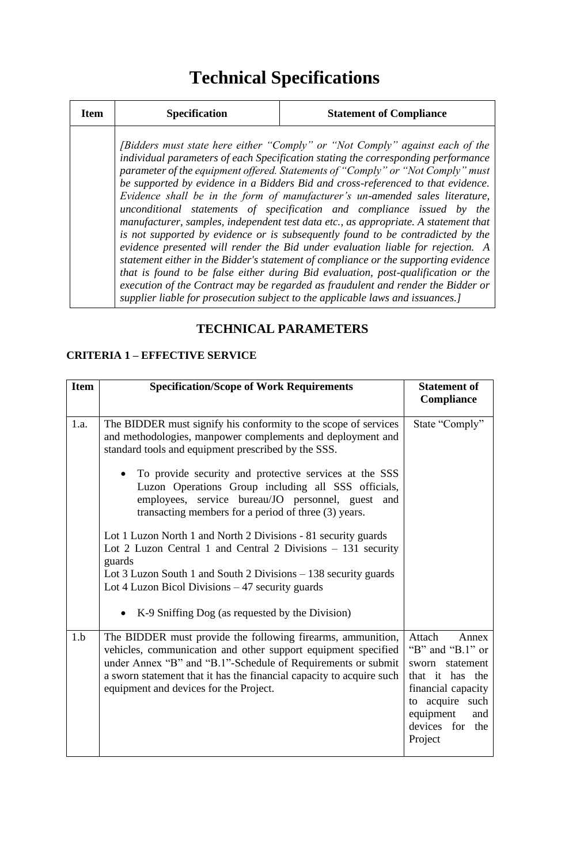## **Technical Specifications**

| <b>Item</b> | <b>Specification</b> | <b>Statement of Compliance</b>                                                                                                                                                                                                                                                                                                                                                                                                                                                                                                                                                                                                                                                                                                                                                                                                                                                                                                                                                                                                                                                                                           |
|-------------|----------------------|--------------------------------------------------------------------------------------------------------------------------------------------------------------------------------------------------------------------------------------------------------------------------------------------------------------------------------------------------------------------------------------------------------------------------------------------------------------------------------------------------------------------------------------------------------------------------------------------------------------------------------------------------------------------------------------------------------------------------------------------------------------------------------------------------------------------------------------------------------------------------------------------------------------------------------------------------------------------------------------------------------------------------------------------------------------------------------------------------------------------------|
|             |                      | <i>(Bidders must state here either "Comply" or "Not Comply" against each of the</i><br>individual parameters of each Specification stating the corresponding performance<br>parameter of the equipment offered. Statements of "Comply" or "Not Comply" must<br>be supported by evidence in a Bidders Bid and cross-referenced to that evidence.<br>Evidence shall be in the form of manufacturer's un-amended sales literature,<br>unconditional statements of specification and compliance issued by the<br>manufacturer, samples, independent test data etc., as appropriate. A statement that<br>is not supported by evidence or is subsequently found to be contradicted by the<br>evidence presented will render the Bid under evaluation liable for rejection. A<br>statement either in the Bidder's statement of compliance or the supporting evidence<br>that is found to be false either during Bid evaluation, post-qualification or the<br>execution of the Contract may be regarded as fraudulent and render the Bidder or<br>supplier liable for prosecution subject to the applicable laws and issuances.] |

## **TECHNICAL PARAMETERS**

## **CRITERIA 1 – EFFECTIVE SERVICE**

| <b>Item</b> | <b>Specification/Scope of Work Requirements</b>                                                                                                                                                                                                                                                                       | <b>Statement of</b><br>Compliance                                                                                                                                          |
|-------------|-----------------------------------------------------------------------------------------------------------------------------------------------------------------------------------------------------------------------------------------------------------------------------------------------------------------------|----------------------------------------------------------------------------------------------------------------------------------------------------------------------------|
| 1.a.        | The BIDDER must signify his conformity to the scope of services<br>and methodologies, manpower complements and deployment and<br>standard tools and equipment prescribed by the SSS.                                                                                                                                  | State "Comply"                                                                                                                                                             |
|             | To provide security and protective services at the SSS<br>Luzon Operations Group including all SSS officials,<br>employees, service bureau/JO personnel, guest and<br>transacting members for a period of three (3) years.                                                                                            |                                                                                                                                                                            |
|             | Lot 1 Luzon North 1 and North 2 Divisions - 81 security guards<br>Lot 2 Luzon Central 1 and Central 2 Divisions - 131 security<br>guards<br>Lot 3 Luzon South 1 and South 2 Divisions – 138 security guards<br>Lot 4 Luzon Bicol Divisions $-47$ security guards<br>• K-9 Sniffing Dog (as requested by the Division) |                                                                                                                                                                            |
| 1.b         | The BIDDER must provide the following firearms, ammunition,<br>vehicles, communication and other support equipment specified<br>under Annex "B" and "B.1"-Schedule of Requirements or submit<br>a sworn statement that it has the financial capacity to acquire such<br>equipment and devices for the Project.        | Attach<br>Annex<br>"B" and "B.1" or<br>statement<br>sworn<br>that it has the<br>financial capacity<br>to acquire such<br>equipment<br>and<br>devices for<br>the<br>Project |